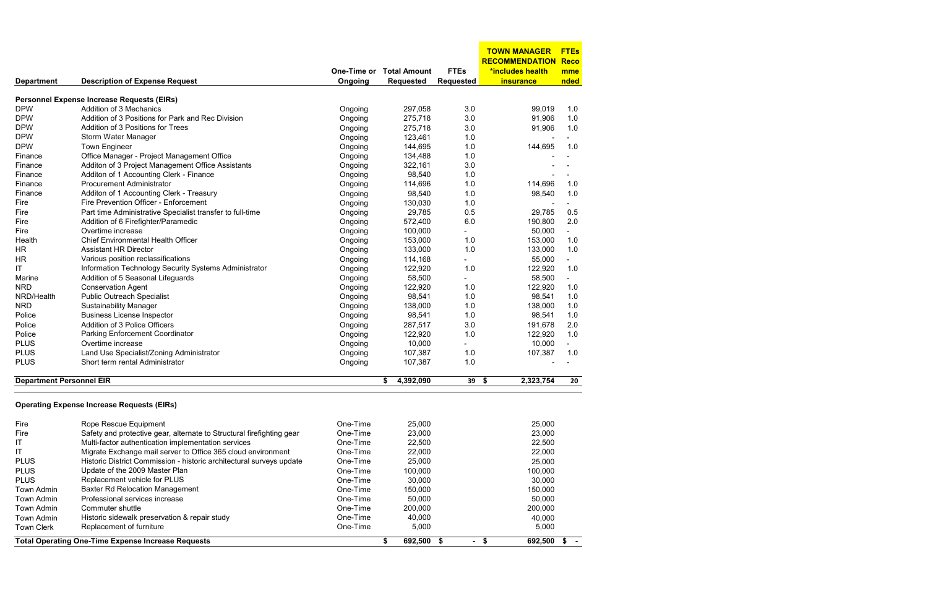|                                 |                                                                             |             |                     |                  | <b>TOWN MANAGER</b>   | <b>FTEs</b>    |
|---------------------------------|-----------------------------------------------------------------------------|-------------|---------------------|------------------|-----------------------|----------------|
|                                 |                                                                             |             |                     |                  | <b>RECOMMENDATION</b> | <b>Reco</b>    |
|                                 |                                                                             | One-Time or | <b>Total Amount</b> | <b>FTEs</b>      | *includes health      | mme            |
| <b>Department</b>               | <b>Description of Expense Request</b>                                       | Ongoing     | <b>Requested</b>    | <b>Requested</b> | <b>insurance</b>      | nded           |
|                                 | Personnel Expense Increase Requests (EIRs)                                  |             |                     |                  |                       |                |
| <b>DPW</b>                      | Addition of 3 Mechanics                                                     | Ongoing     | 297,058             | 3.0              | 99,019                | 1.0            |
| <b>DPW</b>                      | Addition of 3 Positions for Park and Rec Division                           | Ongoing     | 275,718             | 3.0              | 91,906                | 1.0            |
| <b>DPW</b>                      | Addition of 3 Positions for Trees                                           | Ongoing     | 275,718             | 3.0              | 91,906                | 1.0            |
| <b>DPW</b>                      | Storm Water Manager                                                         | Ongoing     | 123,461             | 1.0              |                       |                |
| <b>DPW</b>                      | <b>Town Engineer</b>                                                        | Ongoing     | 144,695             | 1.0              | 144,695               | 1.0            |
| Finance                         | Office Manager - Project Management Office                                  | Ongoing     | 134,488             | 1.0              |                       |                |
|                                 | Additon of 3 Project Management Office Assistants                           |             | 322,161             | 3.0              |                       |                |
| Finance                         |                                                                             | Ongoing     |                     |                  |                       |                |
| Finance                         | Additon of 1 Accounting Clerk - Finance<br><b>Procurement Administrator</b> | Ongoing     | 98,540              | 1.0              |                       |                |
| Finance                         |                                                                             | Ongoing     | 114,696             | 1.0              | 114,696               | 1.0            |
| Finance                         | Additon of 1 Accounting Clerk - Treasury                                    | Ongoing     | 98,540              | 1.0              | 98,540                | 1.0            |
| Fire                            | Fire Prevention Officer - Enforcement                                       | Ongoing     | 130,030             | 1.0              |                       |                |
| Fire                            | Part time Administrative Specialist transfer to full-time                   | Ongoing     | 29,785              | 0.5              | 29,785                | 0.5            |
| Fire                            | Addition of 6 Firefighter/Paramedic                                         | Ongoing     | 572,400             | 6.0              | 190,800               | 2.0            |
| Fire                            | Overtime increase                                                           | Ongoing     | 100,000             |                  | 50,000                |                |
| Health                          | <b>Chief Environmental Health Officer</b>                                   | Ongoing     | 153,000             | 1.0              | 153,000               | 1.0            |
| ΗR                              | <b>Assistant HR Director</b>                                                | Ongoing     | 133,000             | 1.0              | 133,000               | 1.0            |
| HR                              | Various position reclassifications                                          | Ongoing     | 114,168             |                  | 55,000                |                |
| ΙT                              | Information Technology Security Systems Administrator                       | Ongoing     | 122,920             | 1.0              | 122,920               | 1.0            |
| Marine                          | Addition of 5 Seasonal Lifeguards                                           | Ongoing     | 58,500              |                  | 58,500                | $\blacksquare$ |
| <b>NRD</b>                      | <b>Conservation Agent</b>                                                   | Ongoing     | 122,920             | 1.0              | 122,920               | 1.0            |
| NRD/Health                      | <b>Public Outreach Specialist</b>                                           | Ongoing     | 98,541              | 1.0              | 98,541                | 1.0            |
| <b>NRD</b>                      | <b>Sustainability Manager</b>                                               | Ongoing     | 138,000             | 1.0              | 138,000               | 1.0            |
| Police                          | <b>Business License Inspector</b>                                           | Ongoing     | 98,541              | 1.0              | 98,541                | 1.0            |
| Police                          | Addition of 3 Police Officers                                               | Ongoing     | 287,517             | 3.0              | 191,678               | 2.0            |
| Police                          | Parking Enforcement Coordinator                                             | Ongoing     | 122,920             | 1.0              | 122,920               | 1.0            |
| <b>PLUS</b>                     | Overtime increase                                                           | Ongoing     | 10,000              | Ξ.               | 10,000                |                |
| <b>PLUS</b>                     | Land Use Specialist/Zoning Administrator                                    | Ongoing     | 107,387             | 1.0              | 107,387               | 1.0            |
| <b>PLUS</b>                     | Short term rental Administrator                                             | Ongoing     | 107,387             | 1.0              |                       |                |
| <b>Department Personnel EIR</b> |                                                                             |             | 4,392,090<br>\$     | 39               | 2,323,754<br>\$       | 20             |
|                                 |                                                                             |             |                     |                  |                       |                |
|                                 | <b>Operating Expense Increase Requests (EIRs)</b>                           |             |                     |                  |                       |                |
| Fire                            | Rope Rescue Equipment                                                       | One-Time    | 25,000              |                  | 25,000                |                |
| Fire                            | Safety and protective gear, alternate to Structural firefighting gear       | One-Time    | 23,000              |                  | 23,000                |                |
| ΙT                              | Multi-factor authentication implementation services                         | One-Time    | 22,500              |                  | 22,500                |                |
| ΙT                              | Migrate Exchange mail server to Office 365 cloud environment                | One-Time    | 22,000              |                  | 22,000                |                |
| <b>PLUS</b>                     | Historic District Commission - historic architectural surveys update        | One-Time    | 25,000              |                  | 25,000                |                |
| <b>PLUS</b>                     | Update of the 2009 Master Plan                                              | One-Time    | 100,000             |                  | 100,000               |                |
| <b>PLUS</b>                     | Replacement vehicle for PLUS                                                | One-Time    | 30,000              |                  | 30,000                |                |
| Town Admin                      | <b>Baxter Rd Relocation Management</b>                                      | One-Time    | 150,000             |                  | 150,000               |                |
| Town Admin                      | Professional services increase                                              | One-Time    | 50,000              |                  | 50,000                |                |
| Town Admin                      | Commuter shuttle                                                            | One-Time    | 200,000             |                  | 200,000               |                |
| Town Admin                      | Historic sidewalk preservation & repair study                               | One-Time    | 40,000              |                  | 40,000                |                |
| <b>Town Clerk</b>               | Replacement of furniture                                                    | One-Time    | 5,000               |                  | 5,000                 |                |
|                                 | <b>Total Operating One-Time Expense Increase Requests</b>                   |             | 692,500<br>\$       | \$               | $-$ \$<br>692,500     | - 56           |